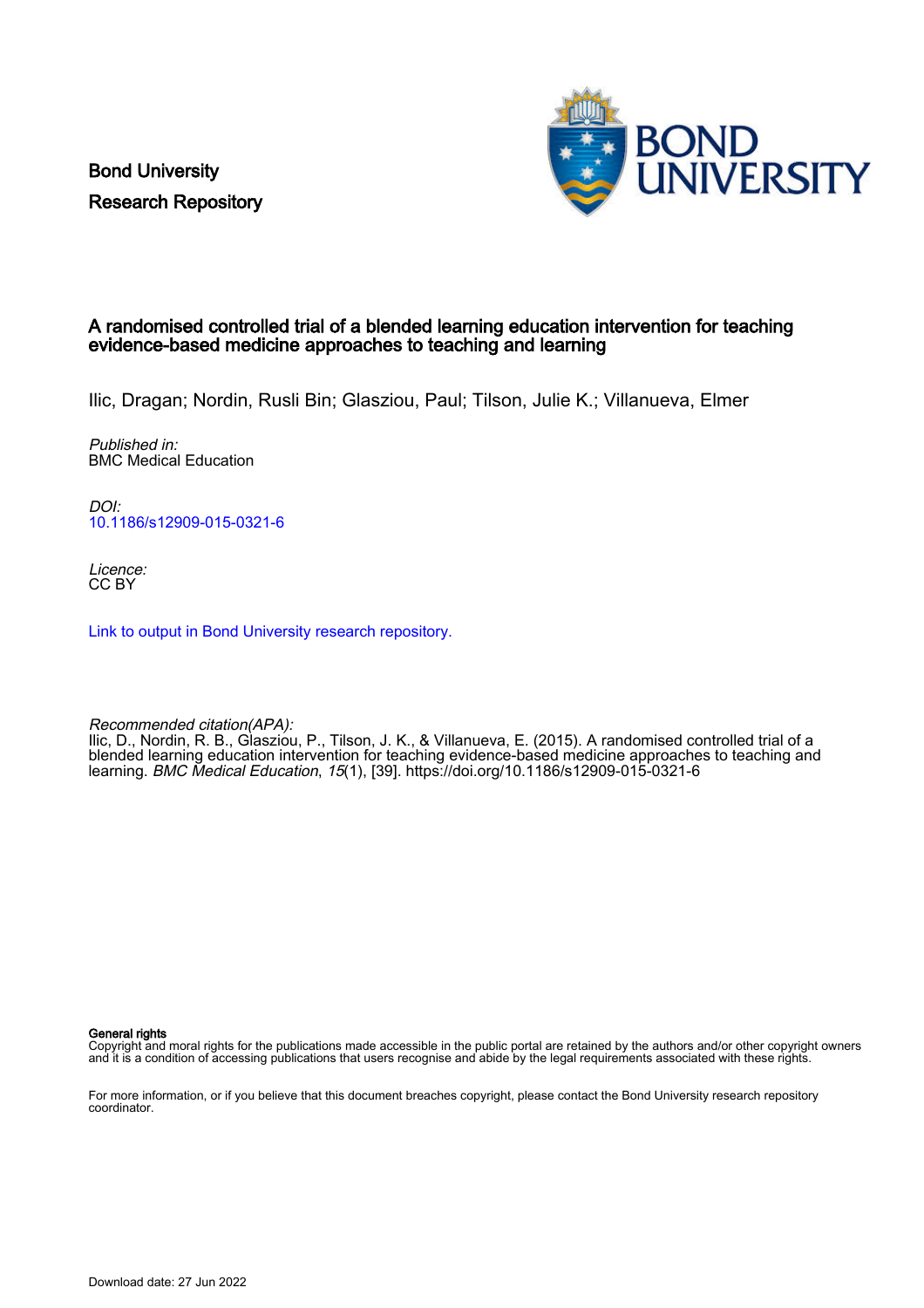Bond University Research Repository



# A randomised controlled trial of a blended learning education intervention for teaching evidence-based medicine approaches to teaching and learning

Ilic, Dragan; Nordin, Rusli Bin; Glasziou, Paul; Tilson, Julie K.; Villanueva, Elmer

Published in: BMC Medical Education

DOI: [10.1186/s12909-015-0321-6](https://doi.org/10.1186/s12909-015-0321-6)

Licence: CC BY

[Link to output in Bond University research repository.](https://research.bond.edu.au/en/publications/82545ee2-565f-460b-8329-146bee15e6c1)

Recommended citation(APA): Ilic, D., Nordin, R. B., Glasziou, P., Tilson, J. K., & Villanueva, E. (2015). A randomised controlled trial of a blended learning education intervention for teaching evidence-based medicine approaches to teaching and learning. BMC Medical Education, 15(1), [39].<https://doi.org/10.1186/s12909-015-0321-6>

General rights

Copyright and moral rights for the publications made accessible in the public portal are retained by the authors and/or other copyright owners and it is a condition of accessing publications that users recognise and abide by the legal requirements associated with these rights.

For more information, or if you believe that this document breaches copyright, please contact the Bond University research repository coordinator.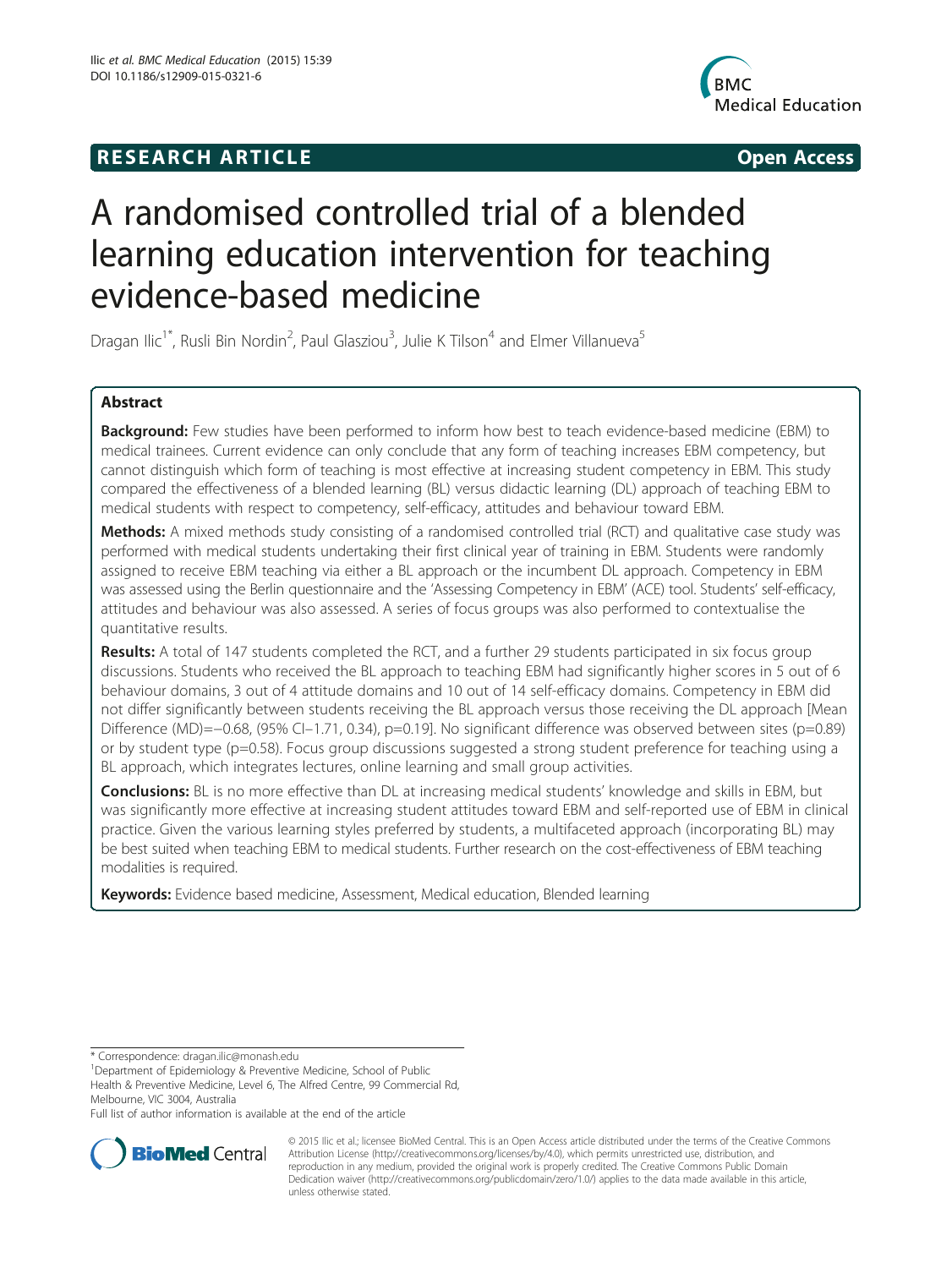# **RESEARCH ARTICLE Example 2014 The SEAR CH ACCESS**



# A randomised controlled trial of a blended learning education intervention for teaching evidence-based medicine

Dragan Ilic<sup>1\*</sup>, Rusli Bin Nordin<sup>2</sup>, Paul Glasziou<sup>3</sup>, Julie K Tilson<sup>4</sup> and Elmer Villanueva<sup>5</sup>

# Abstract

Background: Few studies have been performed to inform how best to teach evidence-based medicine (EBM) to medical trainees. Current evidence can only conclude that any form of teaching increases EBM competency, but cannot distinguish which form of teaching is most effective at increasing student competency in EBM. This study compared the effectiveness of a blended learning (BL) versus didactic learning (DL) approach of teaching EBM to medical students with respect to competency, self-efficacy, attitudes and behaviour toward EBM.

Methods: A mixed methods study consisting of a randomised controlled trial (RCT) and qualitative case study was performed with medical students undertaking their first clinical year of training in EBM. Students were randomly assigned to receive EBM teaching via either a BL approach or the incumbent DL approach. Competency in EBM was assessed using the Berlin questionnaire and the 'Assessing Competency in EBM' (ACE) tool. Students' self-efficacy, attitudes and behaviour was also assessed. A series of focus groups was also performed to contextualise the quantitative results.

Results: A total of 147 students completed the RCT, and a further 29 students participated in six focus group discussions. Students who received the BL approach to teaching EBM had significantly higher scores in 5 out of 6 behaviour domains, 3 out of 4 attitude domains and 10 out of 14 self-efficacy domains. Competency in EBM did not differ significantly between students receiving the BL approach versus those receiving the DL approach [Mean Difference (MD)=−0.68, (95% CI–1.71, 0.34), p=0.19]. No significant difference was observed between sites (p=0.89) or by student type (p=0.58). Focus group discussions suggested a strong student preference for teaching using a BL approach, which integrates lectures, online learning and small group activities.

Conclusions: BL is no more effective than DL at increasing medical students' knowledge and skills in EBM, but was significantly more effective at increasing student attitudes toward EBM and self-reported use of EBM in clinical practice. Given the various learning styles preferred by students, a multifaceted approach (incorporating BL) may be best suited when teaching EBM to medical students. Further research on the cost-effectiveness of EBM teaching modalities is required.

**Keywords:** Evidence based medicine, Assessment, Medical education, Blended learning

\* Correspondence: [dragan.ilic@monash.edu](mailto:dragan.ilic@monash.edu) <sup>1</sup>

Health & Preventive Medicine, Level 6, The Alfred Centre, 99 Commercial Rd, Melbourne, VIC 3004, Australia

Full list of author information is available at the end of the article



© 2015 Ilic et al.; licensee BioMed Central. This is an Open Access article distributed under the terms of the Creative Commons Attribution License (<http://creativecommons.org/licenses/by/4.0>), which permits unrestricted use, distribution, and reproduction in any medium, provided the original work is properly credited. The Creative Commons Public Domain Dedication waiver [\(http://creativecommons.org/publicdomain/zero/1.0/](http://creativecommons.org/publicdomain/zero/1.0/)) applies to the data made available in this article, unless otherwise stated.

Department of Epidemiology & Preventive Medicine, School of Public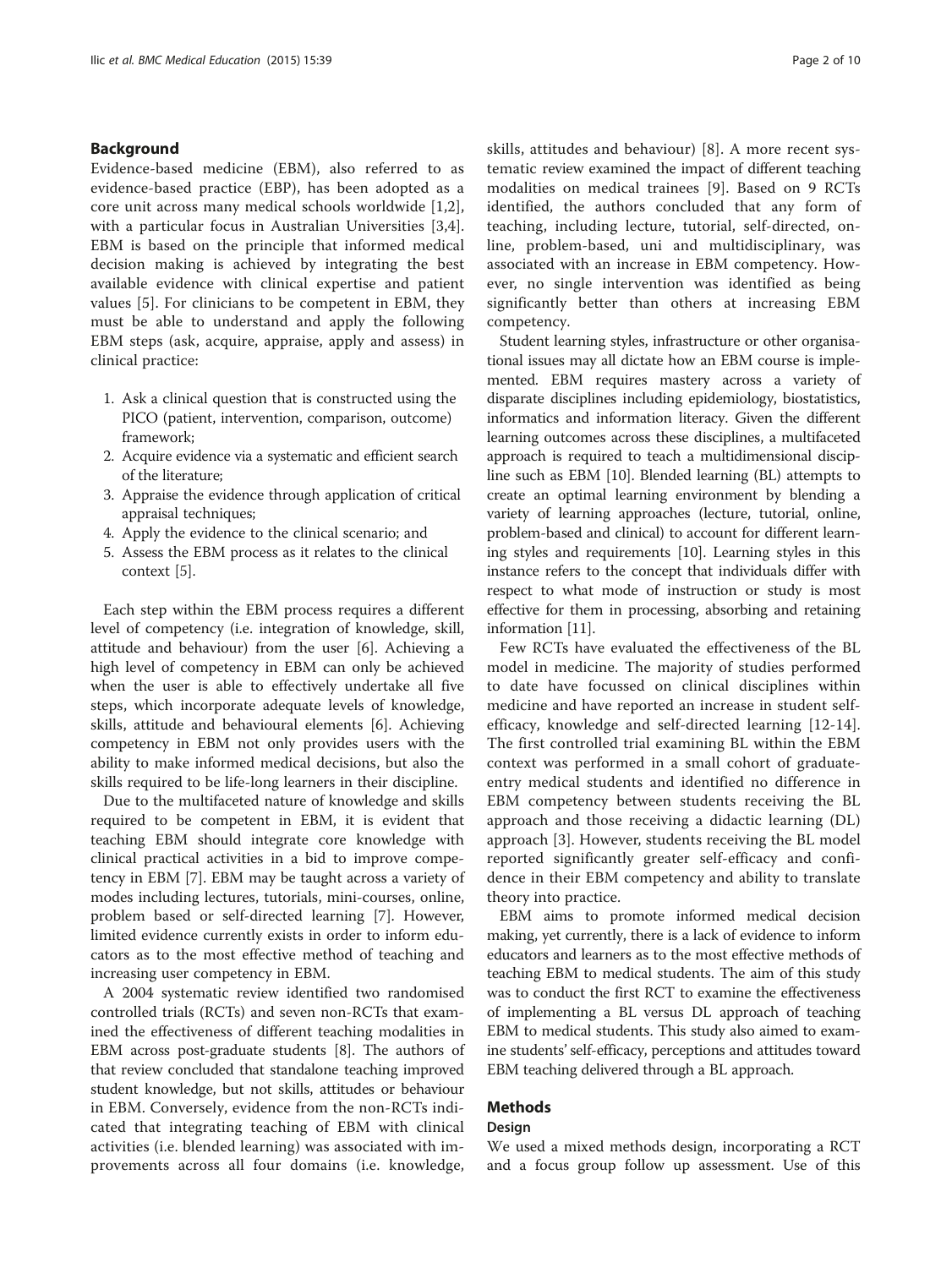# Background

Evidence-based medicine (EBM), also referred to as evidence-based practice (EBP), has been adopted as a core unit across many medical schools worldwide [[1,2](#page-9-0)], with a particular focus in Australian Universities [[3,4](#page-9-0)]. EBM is based on the principle that informed medical decision making is achieved by integrating the best available evidence with clinical expertise and patient values [[5\]](#page-9-0). For clinicians to be competent in EBM, they must be able to understand and apply the following EBM steps (ask, acquire, appraise, apply and assess) in clinical practice:

- 1. Ask a clinical question that is constructed using the PICO (patient, intervention, comparison, outcome) framework;
- 2. Acquire evidence via a systematic and efficient search of the literature;
- 3. Appraise the evidence through application of critical appraisal techniques;
- 4. Apply the evidence to the clinical scenario; and
- 5. Assess the EBM process as it relates to the clinical context [\[5](#page-9-0)].

Each step within the EBM process requires a different level of competency (i.e. integration of knowledge, skill, attitude and behaviour) from the user [\[6](#page-9-0)]. Achieving a high level of competency in EBM can only be achieved when the user is able to effectively undertake all five steps, which incorporate adequate levels of knowledge, skills, attitude and behavioural elements [[6\]](#page-9-0). Achieving competency in EBM not only provides users with the ability to make informed medical decisions, but also the skills required to be life-long learners in their discipline.

Due to the multifaceted nature of knowledge and skills required to be competent in EBM, it is evident that teaching EBM should integrate core knowledge with clinical practical activities in a bid to improve competency in EBM [[7\]](#page-9-0). EBM may be taught across a variety of modes including lectures, tutorials, mini-courses, online, problem based or self-directed learning [[7\]](#page-9-0). However, limited evidence currently exists in order to inform educators as to the most effective method of teaching and increasing user competency in EBM.

A 2004 systematic review identified two randomised controlled trials (RCTs) and seven non-RCTs that examined the effectiveness of different teaching modalities in EBM across post-graduate students [\[8\]](#page-9-0). The authors of that review concluded that standalone teaching improved student knowledge, but not skills, attitudes or behaviour in EBM. Conversely, evidence from the non-RCTs indicated that integrating teaching of EBM with clinical activities (i.e. blended learning) was associated with improvements across all four domains (i.e. knowledge,

skills, attitudes and behaviour) [\[8](#page-9-0)]. A more recent systematic review examined the impact of different teaching modalities on medical trainees [[9\]](#page-9-0). Based on 9 RCTs identified, the authors concluded that any form of teaching, including lecture, tutorial, self-directed, online, problem-based, uni and multidisciplinary, was associated with an increase in EBM competency. However, no single intervention was identified as being significantly better than others at increasing EBM competency.

Student learning styles, infrastructure or other organisational issues may all dictate how an EBM course is implemented. EBM requires mastery across a variety of disparate disciplines including epidemiology, biostatistics, informatics and information literacy. Given the different learning outcomes across these disciplines, a multifaceted approach is required to teach a multidimensional discipline such as EBM [\[10\]](#page-9-0). Blended learning (BL) attempts to create an optimal learning environment by blending a variety of learning approaches (lecture, tutorial, online, problem-based and clinical) to account for different learning styles and requirements [\[10\]](#page-9-0). Learning styles in this instance refers to the concept that individuals differ with respect to what mode of instruction or study is most effective for them in processing, absorbing and retaining information [[11](#page-9-0)].

Few RCTs have evaluated the effectiveness of the BL model in medicine. The majority of studies performed to date have focussed on clinical disciplines within medicine and have reported an increase in student selfefficacy, knowledge and self-directed learning [\[12-14](#page-10-0)]. The first controlled trial examining BL within the EBM context was performed in a small cohort of graduateentry medical students and identified no difference in EBM competency between students receiving the BL approach and those receiving a didactic learning (DL) approach [\[3](#page-9-0)]. However, students receiving the BL model reported significantly greater self-efficacy and confidence in their EBM competency and ability to translate theory into practice.

EBM aims to promote informed medical decision making, yet currently, there is a lack of evidence to inform educators and learners as to the most effective methods of teaching EBM to medical students. The aim of this study was to conduct the first RCT to examine the effectiveness of implementing a BL versus DL approach of teaching EBM to medical students. This study also aimed to examine students' self-efficacy, perceptions and attitudes toward EBM teaching delivered through a BL approach.

# Methods

## Design

We used a mixed methods design, incorporating a RCT and a focus group follow up assessment. Use of this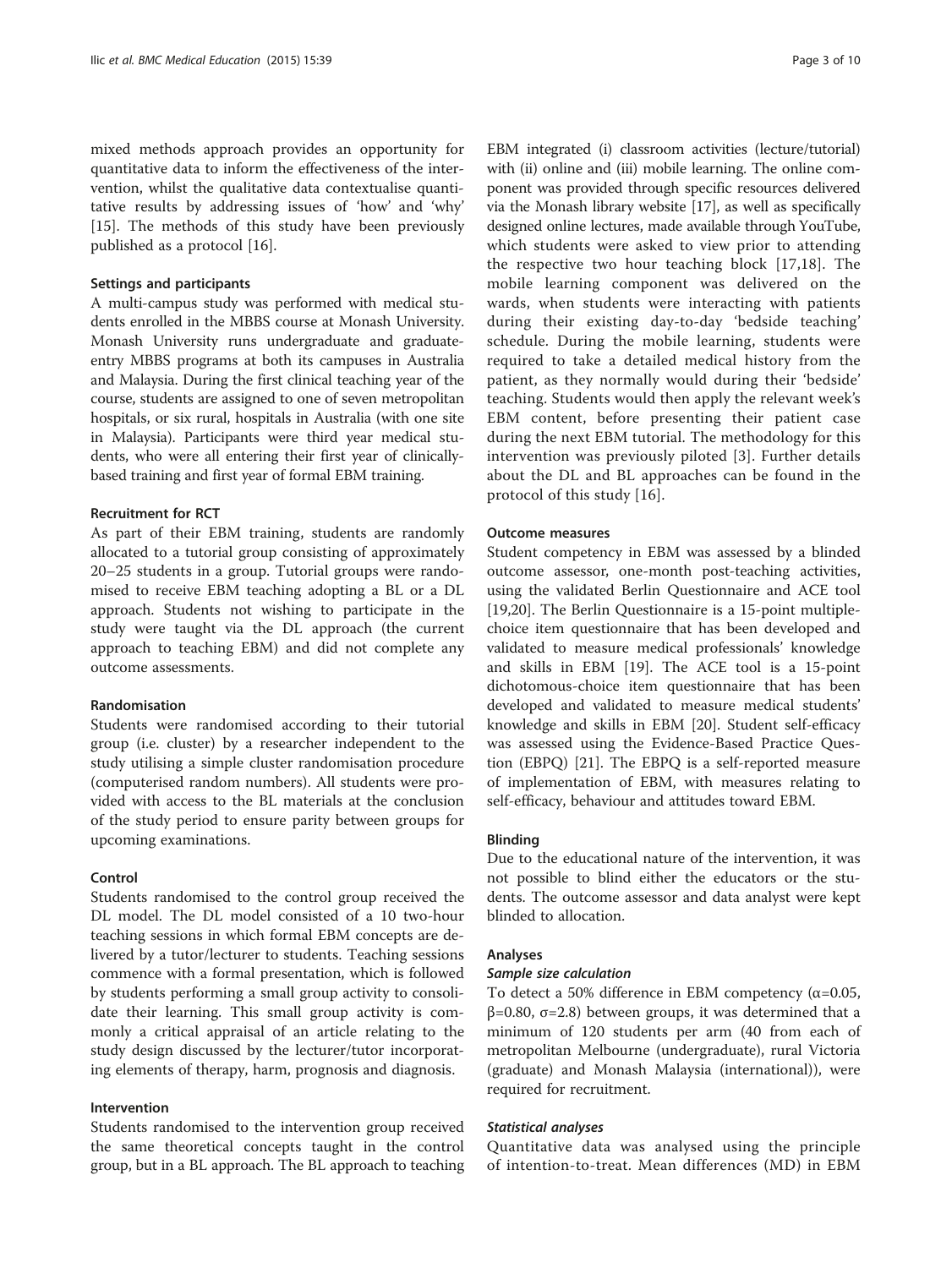mixed methods approach provides an opportunity for quantitative data to inform the effectiveness of the intervention, whilst the qualitative data contextualise quantitative results by addressing issues of 'how' and 'why' [[15\]](#page-10-0). The methods of this study have been previously published as a protocol [\[16\]](#page-10-0).

#### Settings and participants

A multi-campus study was performed with medical students enrolled in the MBBS course at Monash University. Monash University runs undergraduate and graduateentry MBBS programs at both its campuses in Australia and Malaysia. During the first clinical teaching year of the course, students are assigned to one of seven metropolitan hospitals, or six rural, hospitals in Australia (with one site in Malaysia). Participants were third year medical students, who were all entering their first year of clinicallybased training and first year of formal EBM training.

## Recruitment for RCT

As part of their EBM training, students are randomly allocated to a tutorial group consisting of approximately 20–25 students in a group. Tutorial groups were randomised to receive EBM teaching adopting a BL or a DL approach. Students not wishing to participate in the study were taught via the DL approach (the current approach to teaching EBM) and did not complete any outcome assessments.

#### Randomisation

Students were randomised according to their tutorial group (i.e. cluster) by a researcher independent to the study utilising a simple cluster randomisation procedure (computerised random numbers). All students were provided with access to the BL materials at the conclusion of the study period to ensure parity between groups for upcoming examinations.

#### Control

Students randomised to the control group received the DL model. The DL model consisted of a 10 two-hour teaching sessions in which formal EBM concepts are delivered by a tutor/lecturer to students. Teaching sessions commence with a formal presentation, which is followed by students performing a small group activity to consolidate their learning. This small group activity is commonly a critical appraisal of an article relating to the study design discussed by the lecturer/tutor incorporating elements of therapy, harm, prognosis and diagnosis.

#### Intervention

Students randomised to the intervention group received the same theoretical concepts taught in the control group, but in a BL approach. The BL approach to teaching EBM integrated (i) classroom activities (lecture/tutorial) with (ii) online and (iii) mobile learning. The online component was provided through specific resources delivered via the Monash library website [[17](#page-10-0)], as well as specifically designed online lectures, made available through YouTube, which students were asked to view prior to attending the respective two hour teaching block [[17,18](#page-10-0)]. The mobile learning component was delivered on the wards, when students were interacting with patients during their existing day-to-day 'bedside teaching' schedule. During the mobile learning, students were required to take a detailed medical history from the patient, as they normally would during their 'bedside' teaching. Students would then apply the relevant week's EBM content, before presenting their patient case during the next EBM tutorial. The methodology for this intervention was previously piloted [[3](#page-9-0)]. Further details about the DL and BL approaches can be found in the protocol of this study [[16\]](#page-10-0).

#### Outcome measures

Student competency in EBM was assessed by a blinded outcome assessor, one-month post-teaching activities, using the validated Berlin Questionnaire and ACE tool [[19,20\]](#page-10-0). The Berlin Questionnaire is a 15-point multiplechoice item questionnaire that has been developed and validated to measure medical professionals' knowledge and skills in EBM [[19](#page-10-0)]. The ACE tool is a 15-point dichotomous-choice item questionnaire that has been developed and validated to measure medical students' knowledge and skills in EBM [[20\]](#page-10-0). Student self-efficacy was assessed using the Evidence-Based Practice Question (EBPQ) [[21](#page-10-0)]. The EBPQ is a self-reported measure of implementation of EBM, with measures relating to self-efficacy, behaviour and attitudes toward EBM.

#### Blinding

Due to the educational nature of the intervention, it was not possible to blind either the educators or the students. The outcome assessor and data analyst were kept blinded to allocation.

# Analyses

## Sample size calculation

To detect a 50% difference in EBM competency (α=0.05,  $\beta$ =0.80, σ=2.8) between groups, it was determined that a minimum of 120 students per arm (40 from each of metropolitan Melbourne (undergraduate), rural Victoria (graduate) and Monash Malaysia (international)), were required for recruitment.

#### Statistical analyses

Quantitative data was analysed using the principle of intention-to-treat. Mean differences (MD) in EBM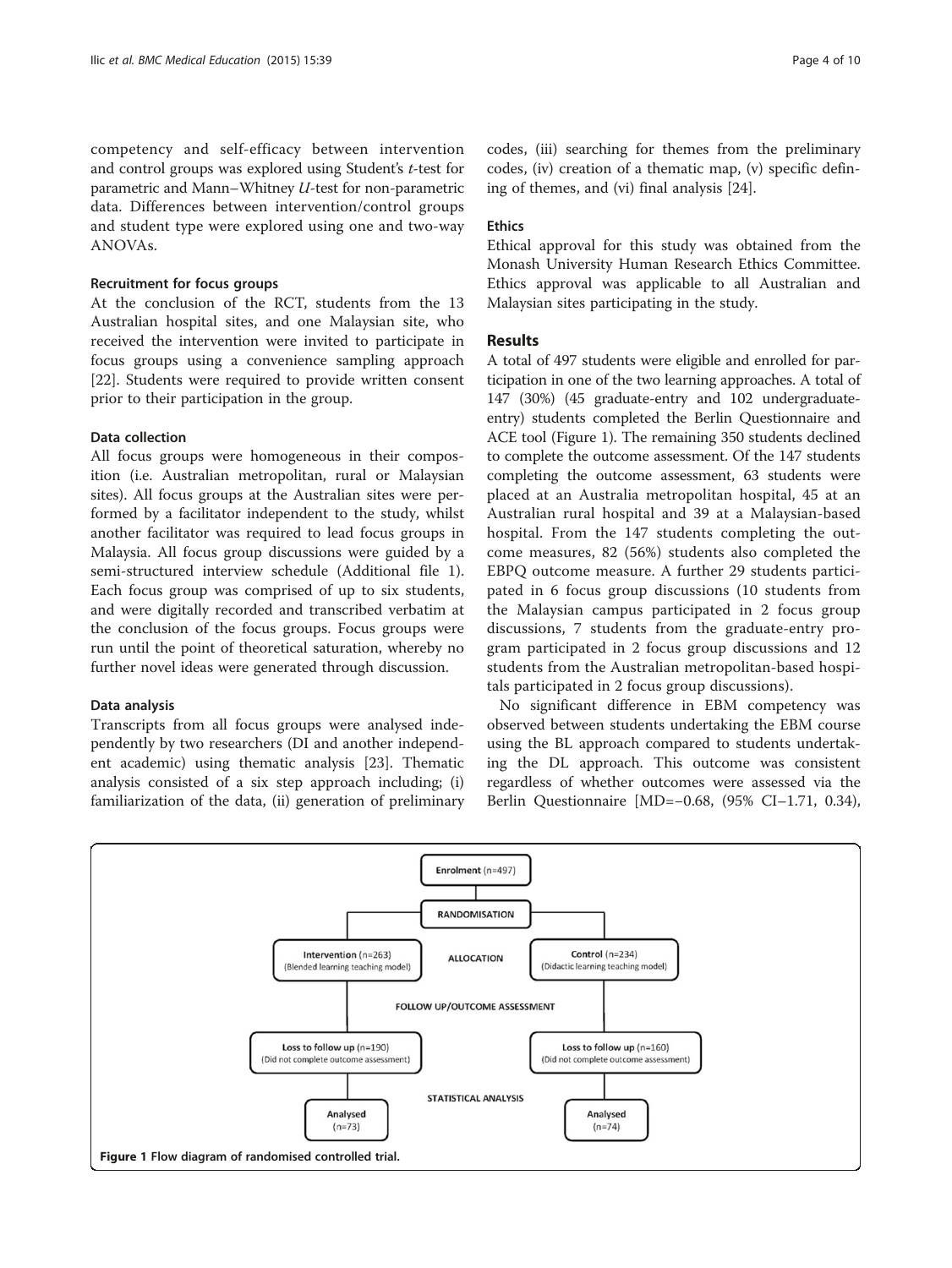competency and self-efficacy between intervention and control groups was explored using Student's t-test for parametric and Mann–Whitney U-test for non-parametric data. Differences between intervention/control groups and student type were explored using one and two-way ANOVAs.

#### Recruitment for focus groups

At the conclusion of the RCT, students from the 13 Australian hospital sites, and one Malaysian site, who received the intervention were invited to participate in focus groups using a convenience sampling approach [[22\]](#page-10-0). Students were required to provide written consent prior to their participation in the group.

#### Data collection

All focus groups were homogeneous in their composition (i.e. Australian metropolitan, rural or Malaysian sites). All focus groups at the Australian sites were performed by a facilitator independent to the study, whilst another facilitator was required to lead focus groups in Malaysia. All focus group discussions were guided by a semi-structured interview schedule (Additional file [1](#page-9-0)). Each focus group was comprised of up to six students, and were digitally recorded and transcribed verbatim at the conclusion of the focus groups. Focus groups were run until the point of theoretical saturation, whereby no further novel ideas were generated through discussion.

#### Data analysis

Transcripts from all focus groups were analysed independently by two researchers (DI and another independent academic) using thematic analysis [[23\]](#page-10-0). Thematic analysis consisted of a six step approach including; (i) familiarization of the data, (ii) generation of preliminary codes, (iii) searching for themes from the preliminary codes, (iv) creation of a thematic map, (v) specific defining of themes, and (vi) final analysis [\[24](#page-10-0)].

#### Ethics

Ethical approval for this study was obtained from the Monash University Human Research Ethics Committee. Ethics approval was applicable to all Australian and Malaysian sites participating in the study.

#### Results

A total of 497 students were eligible and enrolled for participation in one of the two learning approaches. A total of 147 (30%) (45 graduate-entry and 102 undergraduateentry) students completed the Berlin Questionnaire and ACE tool (Figure 1). The remaining 350 students declined to complete the outcome assessment. Of the 147 students completing the outcome assessment, 63 students were placed at an Australia metropolitan hospital, 45 at an Australian rural hospital and 39 at a Malaysian-based hospital. From the 147 students completing the outcome measures, 82 (56%) students also completed the EBPQ outcome measure. A further 29 students participated in 6 focus group discussions (10 students from the Malaysian campus participated in 2 focus group discussions, 7 students from the graduate-entry program participated in 2 focus group discussions and 12 students from the Australian metropolitan-based hospitals participated in 2 focus group discussions).

No significant difference in EBM competency was observed between students undertaking the EBM course using the BL approach compared to students undertaking the DL approach. This outcome was consistent regardless of whether outcomes were assessed via the Berlin Questionnaire [MD=−0.68, (95% CI–1.71, 0.34),

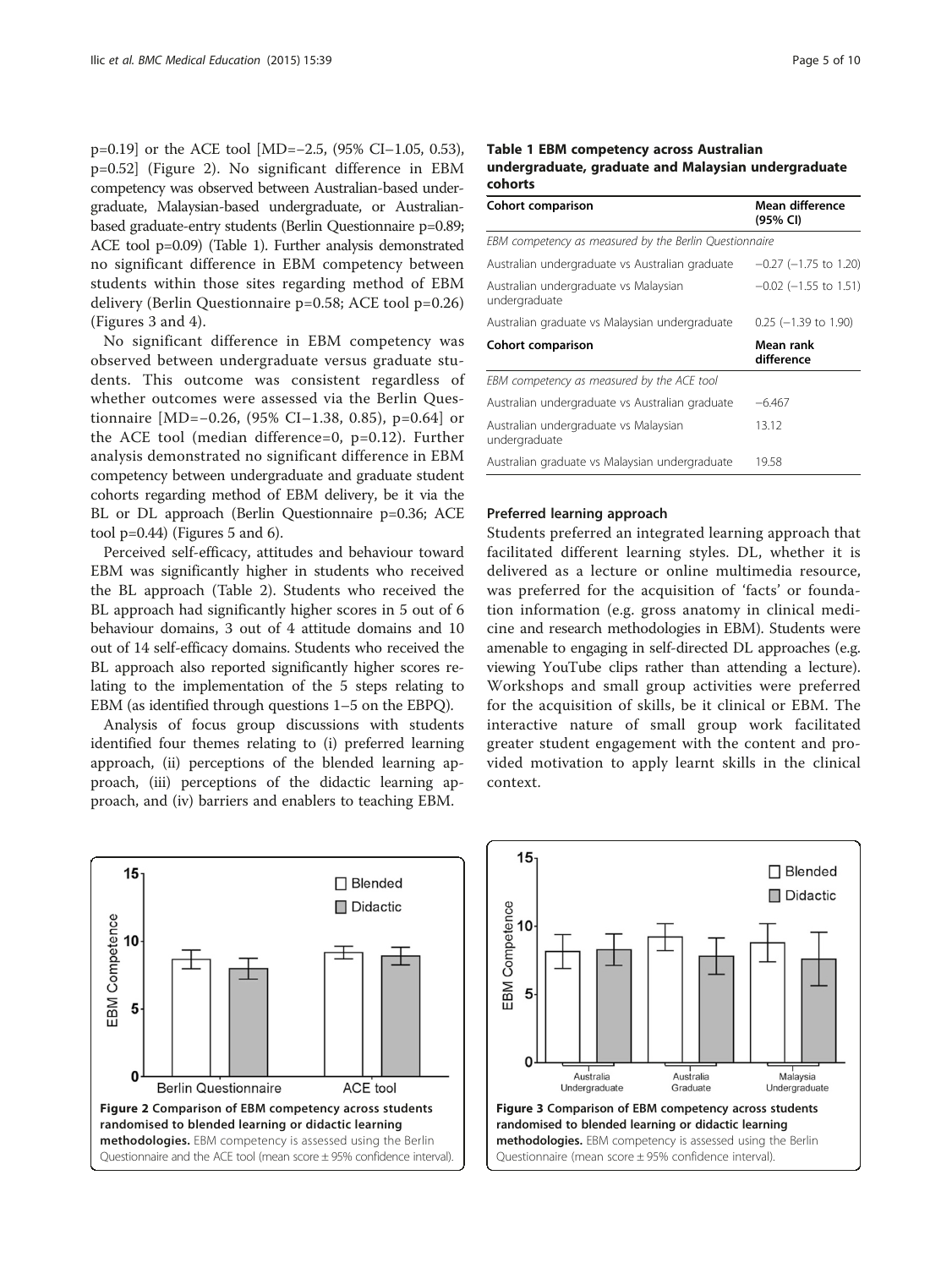p=0.19] or the ACE tool [MD=−2.5, (95% CI–1.05, 0.53), p=0.52] (Figure 2). No significant difference in EBM competency was observed between Australian-based undergraduate, Malaysian-based undergraduate, or Australianbased graduate-entry students (Berlin Questionnaire p=0.89; ACE tool p=0.09) (Table 1). Further analysis demonstrated no significant difference in EBM competency between students within those sites regarding method of EBM delivery (Berlin Questionnaire p=0.58; ACE tool p=0.26) (Figures 3 and [4](#page-6-0)).

No significant difference in EBM competency was observed between undergraduate versus graduate students. This outcome was consistent regardless of whether outcomes were assessed via the Berlin Questionnaire [MD=−0.26, (95% CI–1.38, 0.85), p=0.64] or the ACE tool (median difference=0, p=0.12). Further analysis demonstrated no significant difference in EBM competency between undergraduate and graduate student cohorts regarding method of EBM delivery, be it via the BL or DL approach (Berlin Questionnaire p=0.36; ACE tool  $p=0.44$ ) (Figures [5](#page-6-0) and [6](#page-7-0)).

Perceived self-efficacy, attitudes and behaviour toward EBM was significantly higher in students who received the BL approach (Table [2](#page-8-0)). Students who received the BL approach had significantly higher scores in 5 out of 6 behaviour domains, 3 out of 4 attitude domains and 10 out of 14 self-efficacy domains. Students who received the BL approach also reported significantly higher scores relating to the implementation of the 5 steps relating to EBM (as identified through questions 1–5 on the EBPQ).

Analysis of focus group discussions with students identified four themes relating to (i) preferred learning approach, (ii) perceptions of the blended learning approach, (iii) perceptions of the didactic learning approach, and (iv) barriers and enablers to teaching EBM.

Table 1 EBM competency across Australian undergraduate, graduate and Malaysian undergraduate cohorts

| Cohort comparison                                      | Mean difference<br>(95% CI) |  |  |  |
|--------------------------------------------------------|-----------------------------|--|--|--|
| EBM competency as measured by the Berlin Questionnaire |                             |  |  |  |
| Australian undergraduate vs Australian graduate        | $-0.27$ ( $-1.75$ to 1.20)  |  |  |  |
| Australian undergraduate vs Malaysian<br>undergraduate | $-0.02$ ( $-1.55$ to 1.51)  |  |  |  |
| Australian graduate vs Malaysian undergraduate         | $0.25$ (-1.39 to 1.90)      |  |  |  |
| Cohort comparison                                      | Mean rank<br>difference     |  |  |  |
| EBM competency as measured by the ACE tool             |                             |  |  |  |
| Australian undergraduate vs Australian graduate        | $-6.467$                    |  |  |  |
| Australian undergraduate vs Malaysian<br>undergraduate | 13.12                       |  |  |  |
|                                                        |                             |  |  |  |

#### Preferred learning approach

Students preferred an integrated learning approach that facilitated different learning styles. DL, whether it is delivered as a lecture or online multimedia resource, was preferred for the acquisition of 'facts' or foundation information (e.g. gross anatomy in clinical medicine and research methodologies in EBM). Students were amenable to engaging in self-directed DL approaches (e.g. viewing YouTube clips rather than attending a lecture). Workshops and small group activities were preferred for the acquisition of skills, be it clinical or EBM. The interactive nature of small group work facilitated greater student engagement with the content and provided motivation to apply learnt skills in the clinical context.



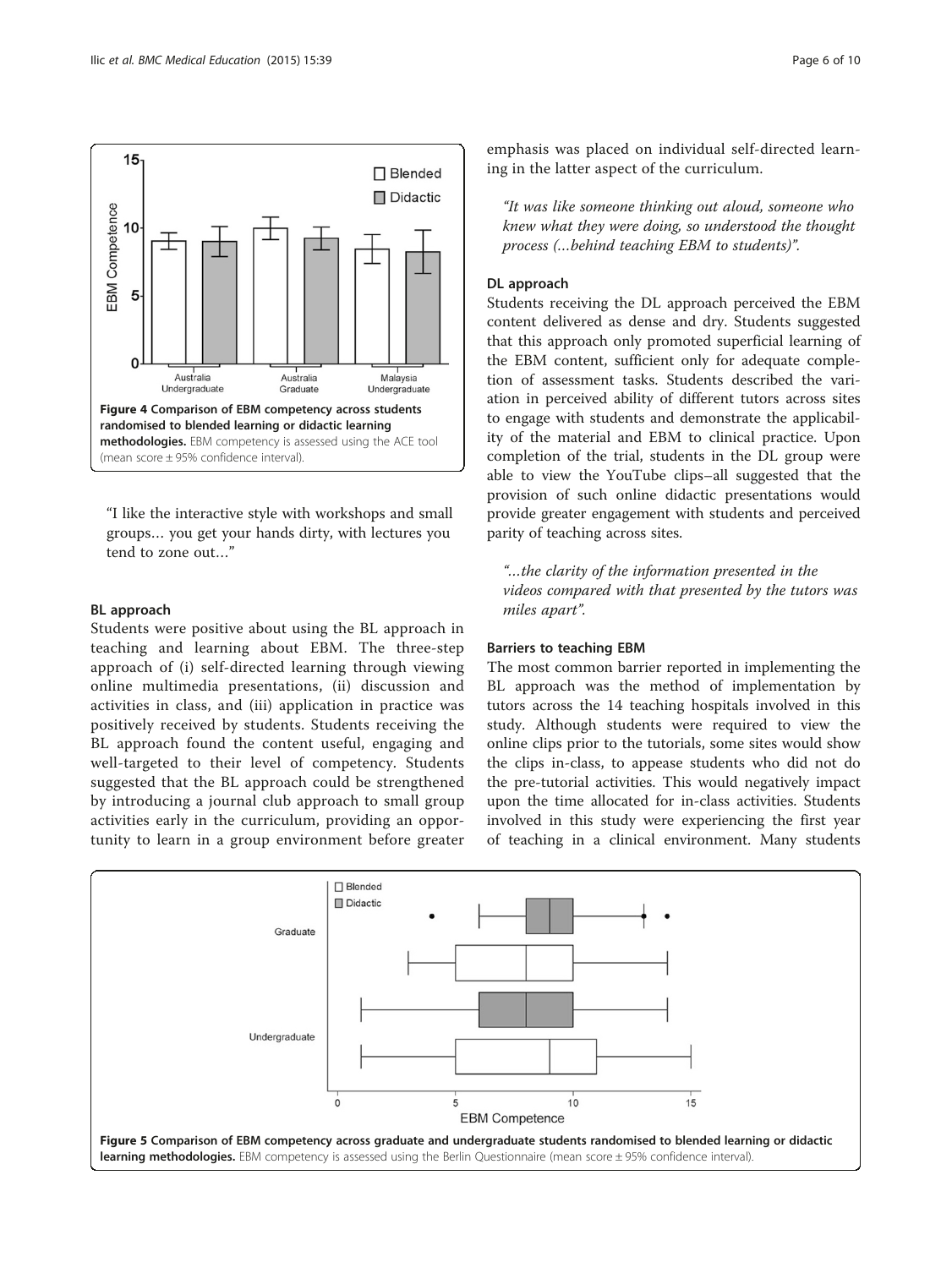

<span id="page-6-0"></span>

"I like the interactive style with workshops and small groups… you get your hands dirty, with lectures you tend to zone out…"

# BL approach

Students were positive about using the BL approach in teaching and learning about EBM. The three-step approach of (i) self-directed learning through viewing online multimedia presentations, (ii) discussion and activities in class, and (iii) application in practice was positively received by students. Students receiving the BL approach found the content useful, engaging and well-targeted to their level of competency. Students suggested that the BL approach could be strengthened by introducing a journal club approach to small group activities early in the curriculum, providing an opportunity to learn in a group environment before greater emphasis was placed on individual self-directed learning in the latter aspect of the curriculum.

"It was like someone thinking out aloud, someone who knew what they were doing, so understood the thought process (…behind teaching EBM to students)".

# DL approach

Students receiving the DL approach perceived the EBM content delivered as dense and dry. Students suggested that this approach only promoted superficial learning of the EBM content, sufficient only for adequate completion of assessment tasks. Students described the variation in perceived ability of different tutors across sites to engage with students and demonstrate the applicability of the material and EBM to clinical practice. Upon completion of the trial, students in the DL group were able to view the YouTube clips–all suggested that the provision of such online didactic presentations would provide greater engagement with students and perceived parity of teaching across sites.

"…the clarity of the information presented in the videos compared with that presented by the tutors was miles apart".

# Barriers to teaching EBM

The most common barrier reported in implementing the BL approach was the method of implementation by tutors across the 14 teaching hospitals involved in this study. Although students were required to view the online clips prior to the tutorials, some sites would show the clips in-class, to appease students who did not do the pre-tutorial activities. This would negatively impact upon the time allocated for in-class activities. Students involved in this study were experiencing the first year of teaching in a clinical environment. Many students

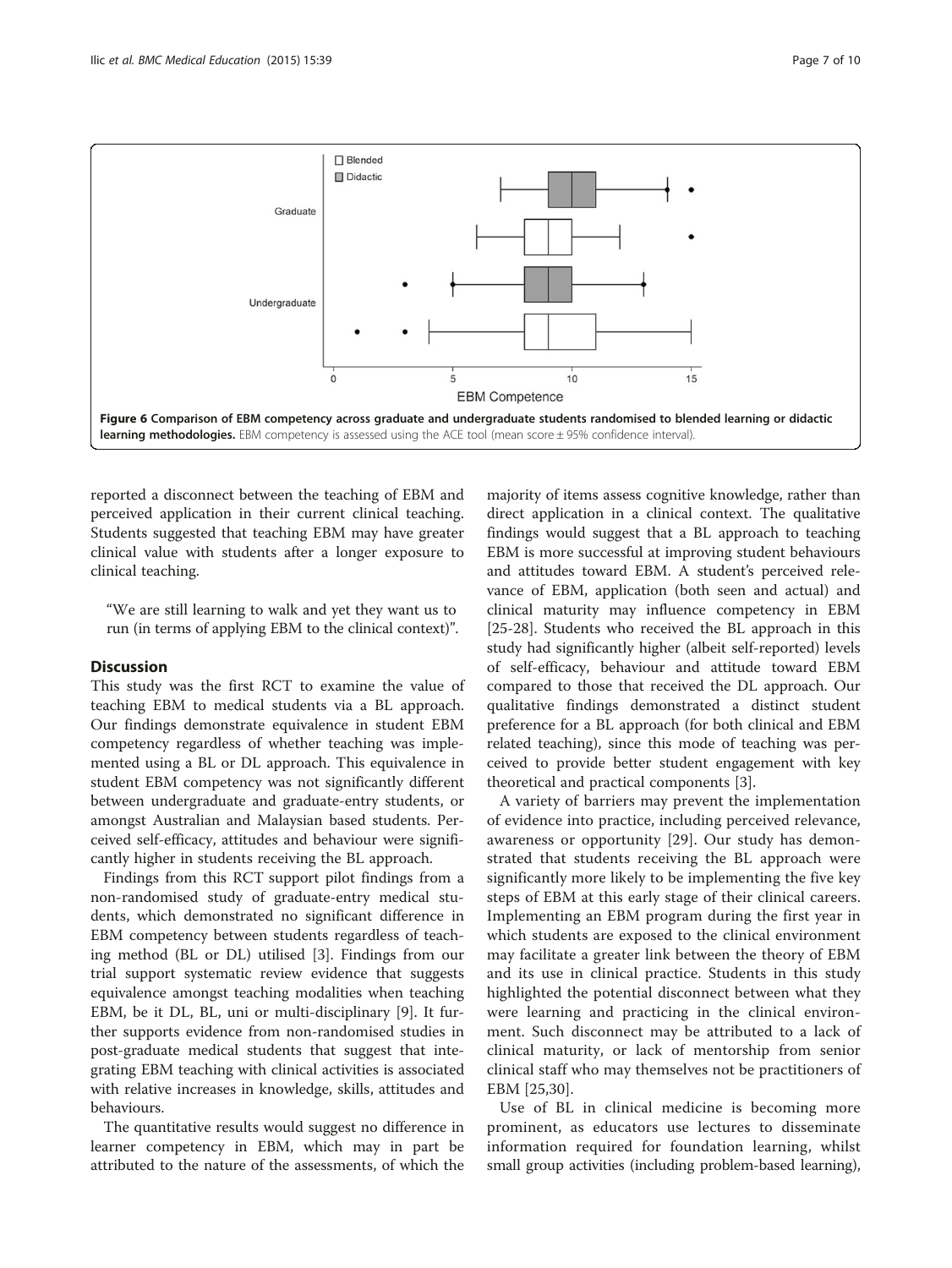<span id="page-7-0"></span>

reported a disconnect between the teaching of EBM and perceived application in their current clinical teaching. Students suggested that teaching EBM may have greater clinical value with students after a longer exposure to clinical teaching.

"We are still learning to walk and yet they want us to run (in terms of applying EBM to the clinical context)".

## **Discussion**

This study was the first RCT to examine the value of teaching EBM to medical students via a BL approach. Our findings demonstrate equivalence in student EBM competency regardless of whether teaching was implemented using a BL or DL approach. This equivalence in student EBM competency was not significantly different between undergraduate and graduate-entry students, or amongst Australian and Malaysian based students. Perceived self-efficacy, attitudes and behaviour were significantly higher in students receiving the BL approach.

Findings from this RCT support pilot findings from a non-randomised study of graduate-entry medical students, which demonstrated no significant difference in EBM competency between students regardless of teaching method (BL or DL) utilised [[3\]](#page-9-0). Findings from our trial support systematic review evidence that suggests equivalence amongst teaching modalities when teaching EBM, be it DL, BL, uni or multi-disciplinary [\[9\]](#page-9-0). It further supports evidence from non-randomised studies in post-graduate medical students that suggest that integrating EBM teaching with clinical activities is associated with relative increases in knowledge, skills, attitudes and behaviours.

The quantitative results would suggest no difference in learner competency in EBM, which may in part be attributed to the nature of the assessments, of which the

majority of items assess cognitive knowledge, rather than direct application in a clinical context. The qualitative findings would suggest that a BL approach to teaching EBM is more successful at improving student behaviours and attitudes toward EBM. A student's perceived relevance of EBM, application (both seen and actual) and clinical maturity may influence competency in EBM [[25-28](#page-10-0)]. Students who received the BL approach in this study had significantly higher (albeit self-reported) levels of self-efficacy, behaviour and attitude toward EBM compared to those that received the DL approach. Our qualitative findings demonstrated a distinct student preference for a BL approach (for both clinical and EBM related teaching), since this mode of teaching was perceived to provide better student engagement with key theoretical and practical components [[3\]](#page-9-0).

A variety of barriers may prevent the implementation of evidence into practice, including perceived relevance, awareness or opportunity [[29\]](#page-10-0). Our study has demonstrated that students receiving the BL approach were significantly more likely to be implementing the five key steps of EBM at this early stage of their clinical careers. Implementing an EBM program during the first year in which students are exposed to the clinical environment may facilitate a greater link between the theory of EBM and its use in clinical practice. Students in this study highlighted the potential disconnect between what they were learning and practicing in the clinical environment. Such disconnect may be attributed to a lack of clinical maturity, or lack of mentorship from senior clinical staff who may themselves not be practitioners of EBM [\[25](#page-10-0),[30\]](#page-10-0).

Use of BL in clinical medicine is becoming more prominent, as educators use lectures to disseminate information required for foundation learning, whilst small group activities (including problem-based learning),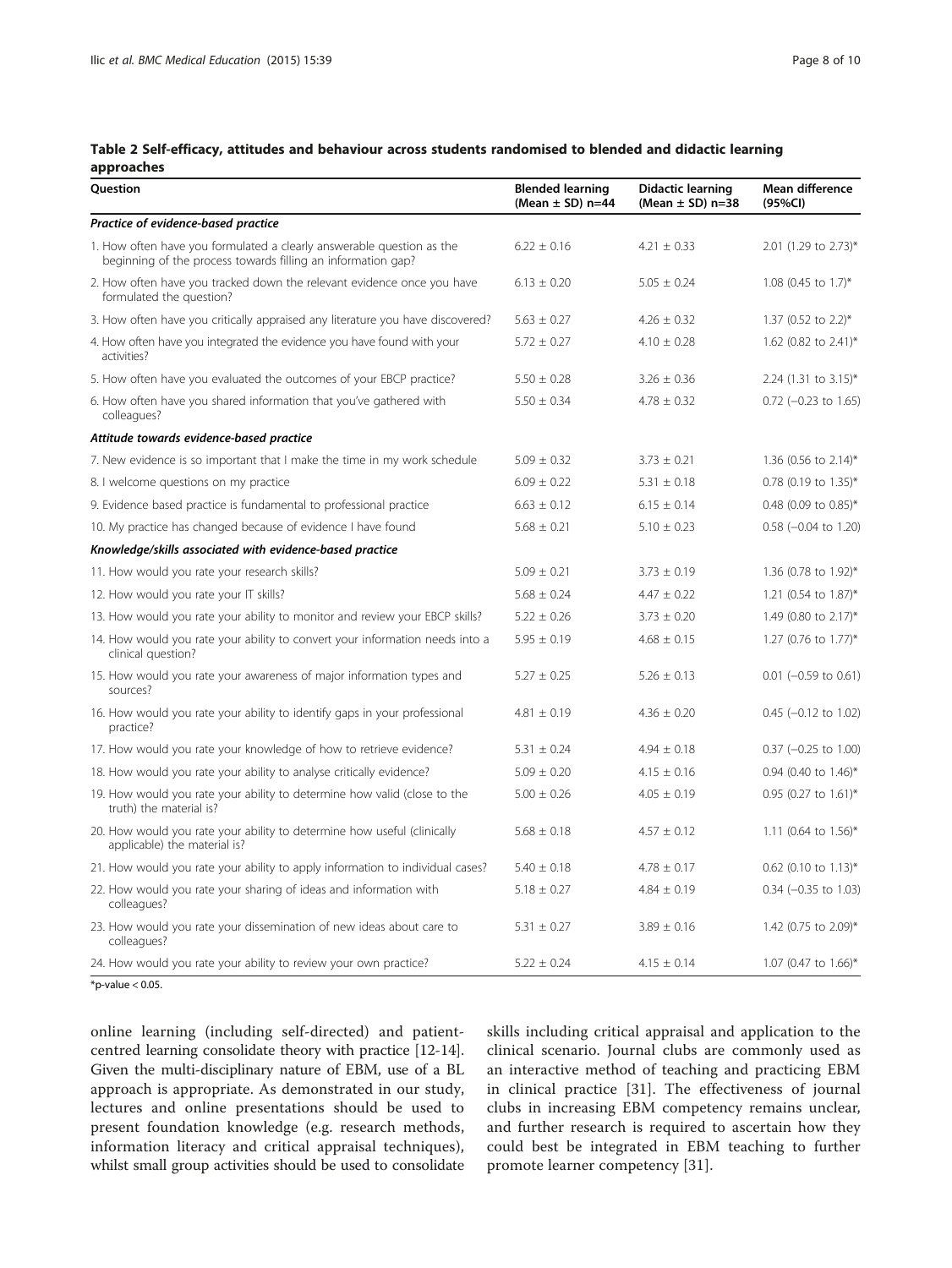<span id="page-8-0"></span>

| Table 2 Self-efficacy, attitudes and behaviour across students randomised to blended and didactic learning |  |  |  |
|------------------------------------------------------------------------------------------------------------|--|--|--|
| approaches                                                                                                 |  |  |  |

| Question                                                                                                                              | <b>Blended learning</b><br>(Mean $\pm$ SD) n=44 | <b>Didactic learning</b><br>(Mean $\pm$ SD) n=38 | Mean difference<br>(95%Cl) |  |
|---------------------------------------------------------------------------------------------------------------------------------------|-------------------------------------------------|--------------------------------------------------|----------------------------|--|
| Practice of evidence-based practice                                                                                                   |                                                 |                                                  |                            |  |
| 1. How often have you formulated a clearly answerable question as the<br>beginning of the process towards filling an information gap? | $6.22 \pm 0.16$                                 | $4.21 \pm 0.33$                                  | 2.01 (1.29 to 2.73)*       |  |
| 2. How often have you tracked down the relevant evidence once you have<br>formulated the question?                                    | $6.13 \pm 0.20$                                 | $5.05 \pm 0.24$                                  | 1.08 (0.45 to 1.7)*        |  |
| 3. How often have you critically appraised any literature you have discovered?                                                        | $5.63 \pm 0.27$                                 | $4.26 \pm 0.32$                                  | 1.37 (0.52 to 2.2)*        |  |
| 4. How often have you integrated the evidence you have found with your<br>activities?                                                 | $5.72 \pm 0.27$                                 | $4.10 \pm 0.28$                                  | 1.62 (0.82 to 2.41)*       |  |
| 5. How often have you evaluated the outcomes of your EBCP practice?                                                                   | $5.50 \pm 0.28$                                 | $3.26 \pm 0.36$                                  | 2.24 (1.31 to 3.15)*       |  |
| 6. How often have you shared information that you've gathered with<br>colleagues?                                                     | $5.50 \pm 0.34$                                 | $4.78 \pm 0.32$                                  | $0.72$ (-0.23 to 1.65)     |  |
| Attitude towards evidence-based practice                                                                                              |                                                 |                                                  |                            |  |
| 7. New evidence is so important that I make the time in my work schedule                                                              | $5.09 \pm 0.32$                                 | $3.73 \pm 0.21$                                  | 1.36 (0.56 to 2.14)*       |  |
| 8. I welcome questions on my practice                                                                                                 | $6.09 \pm 0.22$                                 | $5.31 \pm 0.18$                                  | $0.78$ (0.19 to 1.35)*     |  |
| 9. Evidence based practice is fundamental to professional practice                                                                    | $6.63 \pm 0.12$                                 | $6.15 \pm 0.14$                                  | 0.48 (0.09 to 0.85)*       |  |
| 10. My practice has changed because of evidence I have found                                                                          | $5.68 \pm 0.21$                                 | $5.10 \pm 0.23$                                  | 0.58 (-0.04 to 1.20)       |  |
| Knowledge/skills associated with evidence-based practice                                                                              |                                                 |                                                  |                            |  |
| 11. How would you rate your research skills?                                                                                          | $5.09 \pm 0.21$                                 | $3.73 \pm 0.19$                                  | 1.36 (0.78 to 1.92)*       |  |
| 12. How would you rate your IT skills?                                                                                                | $5.68 \pm 0.24$                                 | $4.47 \pm 0.22$                                  | 1.21 (0.54 to $1.87$ )*    |  |
| 13. How would you rate your ability to monitor and review your EBCP skills?                                                           | $5.22 \pm 0.26$                                 | $3.73 \pm 0.20$                                  | 1.49 (0.80 to 2.17)*       |  |
| 14. How would you rate your ability to convert your information needs into a<br>clinical question?                                    | $5.95 \pm 0.19$                                 | $4.68 \pm 0.15$                                  | 1.27 (0.76 to 1.77)*       |  |
| 15. How would you rate your awareness of major information types and<br>sources?                                                      | $5.27 \pm 0.25$                                 | $5.26 \pm 0.13$                                  | $0.01$ (-0.59 to 0.61)     |  |
| 16. How would you rate your ability to identify gaps in your professional<br>practice?                                                | $4.81 \pm 0.19$                                 | $4.36 \pm 0.20$                                  | $0.45$ (-0.12 to 1.02)     |  |
| 17. How would you rate your knowledge of how to retrieve evidence?                                                                    | $5.31 \pm 0.24$                                 | $4.94 \pm 0.18$                                  | $0.37$ (-0.25 to 1.00)     |  |
| 18. How would you rate your ability to analyse critically evidence?                                                                   | $5.09 \pm 0.20$                                 | $4.15 \pm 0.16$                                  | 0.94 (0.40 to 1.46)*       |  |
| 19. How would you rate your ability to determine how valid (close to the<br>truth) the material is?                                   | $5.00 \pm 0.26$                                 | $4.05 \pm 0.19$                                  | 0.95 (0.27 to $1.61$ )*    |  |
| 20. How would you rate your ability to determine how useful (clinically<br>applicable) the material is?                               | $5.68 \pm 0.18$                                 | $4.57 \pm 0.12$                                  | 1.11 (0.64 to $1.56$ )*    |  |
| 21. How would you rate your ability to apply information to individual cases?                                                         | $5.40 \pm 0.18$                                 | $4.78 \pm 0.17$                                  | $0.62$ (0.10 to 1.13)*     |  |
| 22. How would you rate your sharing of ideas and information with<br>colleagues?                                                      | $5.18 \pm 0.27$                                 | $4.84 \pm 0.19$                                  | $0.34$ (-0.35 to 1.03)     |  |
| 23. How would you rate your dissemination of new ideas about care to<br>colleagues?                                                   | $5.31 \pm 0.27$                                 | $3.89 \pm 0.16$                                  | 1.42 (0.75 to 2.09)*       |  |
| 24. How would you rate your ability to review your own practice?                                                                      | $5.22 \pm 0.24$                                 | $4.15 \pm 0.14$                                  | 1.07 (0.47 to 1.66)*       |  |

 $*$ p-value < 0.05.

online learning (including self-directed) and patientcentred learning consolidate theory with practice [[12](#page-10-0)-[14](#page-10-0)]. Given the multi-disciplinary nature of EBM, use of a BL approach is appropriate. As demonstrated in our study, lectures and online presentations should be used to present foundation knowledge (e.g. research methods, information literacy and critical appraisal techniques), whilst small group activities should be used to consolidate skills including critical appraisal and application to the clinical scenario. Journal clubs are commonly used as an interactive method of teaching and practicing EBM in clinical practice [[31](#page-10-0)]. The effectiveness of journal clubs in increasing EBM competency remains unclear, and further research is required to ascertain how they could best be integrated in EBM teaching to further promote learner competency [[31\]](#page-10-0).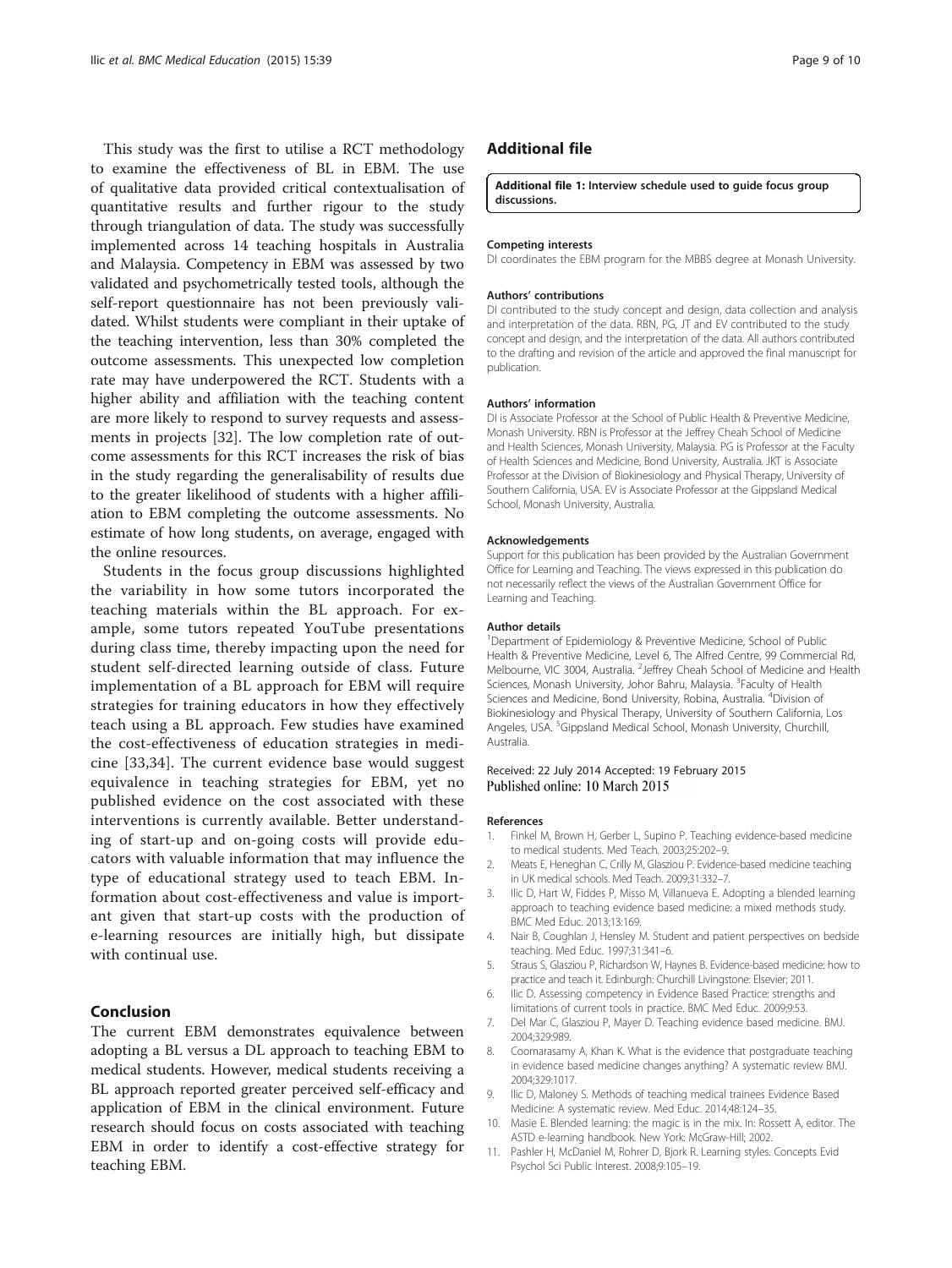<span id="page-9-0"></span>This study was the first to utilise a RCT methodology to examine the effectiveness of BL in EBM. The use of qualitative data provided critical contextualisation of quantitative results and further rigour to the study through triangulation of data. The study was successfully implemented across 14 teaching hospitals in Australia and Malaysia. Competency in EBM was assessed by two validated and psychometrically tested tools, although the self-report questionnaire has not been previously validated. Whilst students were compliant in their uptake of the teaching intervention, less than 30% completed the outcome assessments. This unexpected low completion rate may have underpowered the RCT. Students with a higher ability and affiliation with the teaching content are more likely to respond to survey requests and assessments in projects [\[32](#page-10-0)]. The low completion rate of outcome assessments for this RCT increases the risk of bias in the study regarding the generalisability of results due to the greater likelihood of students with a higher affiliation to EBM completing the outcome assessments. No estimate of how long students, on average, engaged with the online resources.

Students in the focus group discussions highlighted the variability in how some tutors incorporated the teaching materials within the BL approach. For example, some tutors repeated YouTube presentations during class time, thereby impacting upon the need for student self-directed learning outside of class. Future implementation of a BL approach for EBM will require strategies for training educators in how they effectively teach using a BL approach. Few studies have examined the cost-effectiveness of education strategies in medicine [[33,34\]](#page-10-0). The current evidence base would suggest equivalence in teaching strategies for EBM, yet no published evidence on the cost associated with these interventions is currently available. Better understanding of start-up and on-going costs will provide educators with valuable information that may influence the type of educational strategy used to teach EBM. Information about cost-effectiveness and value is important given that start-up costs with the production of e-learning resources are initially high, but dissipate with continual use.

## Conclusion

The current EBM demonstrates equivalence between adopting a BL versus a DL approach to teaching EBM to medical students. However, medical students receiving a BL approach reported greater perceived self-efficacy and application of EBM in the clinical environment. Future research should focus on costs associated with teaching EBM in order to identify a cost-effective strategy for teaching EBM.

## Additional file

[Additional file 1:](http://www.biomedcentral.com/content/supplementary/s12909-015-0321-6-s1.docx) Interview schedule used to guide focus group discussions.

#### Competing interests

DI coordinates the EBM program for the MBBS degree at Monash University.

#### Authors' contributions

DI contributed to the study concept and design, data collection and analysis and interpretation of the data. RBN, PG, JT and EV contributed to the study concept and design, and the interpretation of the data. All authors contributed to the drafting and revision of the article and approved the final manuscript for publication.

#### Authors' information

DI is Associate Professor at the School of Public Health & Preventive Medicine, Monash University. RBN is Professor at the Jeffrey Cheah School of Medicine and Health Sciences, Monash University, Malaysia. PG is Professor at the Faculty of Health Sciences and Medicine, Bond University, Australia. JKT is Associate Professor at the Division of Biokinesiology and Physical Therapy, University of Southern California, USA. EV is Associate Professor at the Gippsland Medical School, Monash University, Australia.

#### Acknowledgements

Support for this publication has been provided by the Australian Government Office for Learning and Teaching. The views expressed in this publication do not necessarily reflect the views of the Australian Government Office for Learning and Teaching.

#### Author details

<sup>1</sup>Department of Epidemiology & Preventive Medicine, School of Public Health & Preventive Medicine, Level 6, The Alfred Centre, 99 Commercial Rd, Melbourne, VIC 3004, Australia. <sup>2</sup> Jeffrey Cheah School of Medicine and Health Sciences, Monash University, Johor Bahru, Malaysia. <sup>3</sup>Faculty of Health Sciences and Medicine, Bond University, Robina, Australia. <sup>4</sup>Division of Biokinesiology and Physical Therapy, University of Southern California, Los Angeles, USA. <sup>5</sup>Gippsland Medical School, Monash University, Churchill, Australia.

#### Received: 22 July 2014 Accepted: 19 February 2015 Published online: 10 March 2015

#### References

- 1. Finkel M, Brown H, Gerber L, Supino P. Teaching evidence-based medicine to medical students. Med Teach. 2003;25:202–9.
- 2. Meats E, Heneghan C, Crilly M, Glasziou P. Evidence-based medicine teaching in UK medical schools. Med Teach. 2009;31:332–7.
- 3. Ilic D, Hart W, Fiddes P, Misso M, Villanueva E. Adopting a blended learning approach to teaching evidence based medicine: a mixed methods study. BMC Med Educ. 2013;13:169.
- 4. Nair B, Coughlan J, Hensley M. Student and patient perspectives on bedside teaching. Med Educ. 1997;31:341–6.
- 5. Straus S, Glasziou P, Richardson W, Haynes B. Evidence-based medicine: how to practice and teach it. Edinburgh: Churchill Livingstone: Elsevier; 2011.
- 6. Ilic D. Assessing competency in Evidence Based Practice: strengths and limitations of current tools in practice. BMC Med Educ. 2009;9:53.
- 7. Del Mar C, Glasziou P, Mayer D. Teaching evidence based medicine. BMJ. 2004;329:989.
- 8. Coomarasamy A, Khan K. What is the evidence that postgraduate teaching in evidence based medicine changes anything? A systematic review BMJ. 2004;329:1017.
- 9. Ilic D, Maloney S. Methods of teaching medical trainees Evidence Based Medicine: A systematic review. Med Educ. 2014;48:124–35.
- 10. Masie E. Blended learning: the magic is in the mix. In: Rossett A, editor. The ASTD e-learning handbook. New York: McGraw-Hill; 2002.
- 11. Pashler H, McDaniel M, Rohrer D, Bjork R. Learning styles. Concepts Evid Psychol Sci Public Interest. 2008;9:105–19.